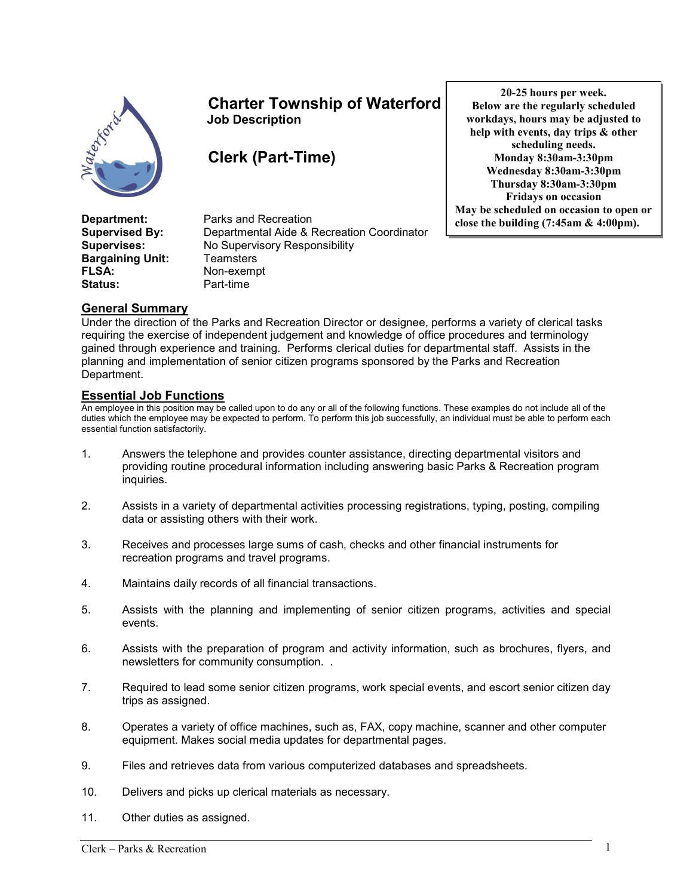

# Charter Township of Waterford Job Description

Clerk (Part-Time)

20-25 hours per week. Below are the regularly scheduled workdays, hours may be adjusted to help with events, day trips & other scheduling needs. Monday 8:30am-3:30pm Wednesday 8:30am-3:30pm Thursday 8:30am-3:30pm Fridays on occasion May be scheduled on occasion to open or close the building (7:45am & 4:00pm).

**Bargaining Unit:** Teamsters FLSA: Non-exempt Status: Part-time

**Department:** Parks and Recreation Supervised By: Departmental Aide & Recreation Coordinator Supervises: No Supervisory Responsibility

## General Summary

Under the direction of the Parks and Recreation Director or designee, performs a variety of clerical tasks requiring the exercise of independent judgement and knowledge of office procedures and terminology gained through experience and training. Performs clerical duties for departmental staff. Assists in the planning and implementation of senior citizen programs sponsored by the Parks and Recreation Department.

### Essential Job Functions

An employee in this position may be called upon to do any or all of the following functions. These examples do not include all of the duties which the employee may be expected to perform. To perform this job successfully, an individual must be able to perform each essential function satisfactorily.

- 1. Answers the telephone and provides counter assistance, directing departmental visitors and providing routine procedural information including answering basic Parks & Recreation program inquiries.
- 2. Assists in a variety of departmental activities processing registrations, typing, posting, compiling data or assisting others with their work.
- 3. Receives and processes large sums of cash, checks and other financial instruments for recreation programs and travel programs.
- 4. Maintains daily records of all financial transactions.
- 5. Assists with the planning and implementing of senior citizen programs, activities and special events.
- 6. Assists with the preparation of program and activity information, such as brochures, flyers, and newsletters for community consumption. .
- 7. Required to lead some senior citizen programs, work special events, and escort senior citizen day trips as assigned.
- 8. Operates a variety of office machines, such as, FAX, copy machine, scanner and other computer equipment. Makes social media updates for departmental pages.
- 9. Files and retrieves data from various computerized databases and spreadsheets.
- 10. Delivers and picks up clerical materials as necessary.
- 11. Other duties as assigned.